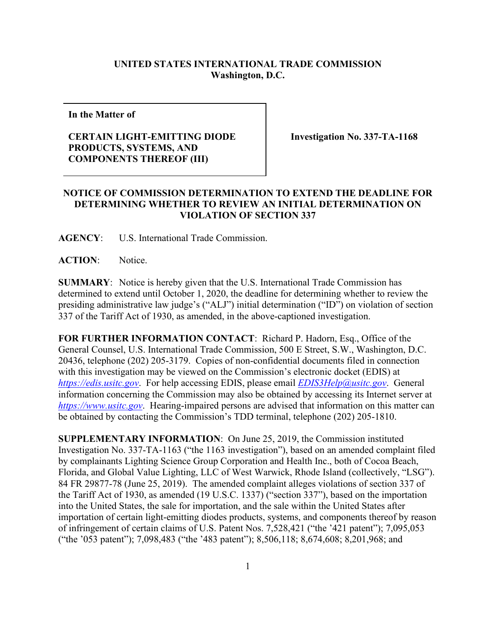## **UNITED STATES INTERNATIONAL TRADE COMMISSION Washington, D.C.**

**In the Matter of**

## **CERTAIN LIGHT-EMITTING DIODE PRODUCTS, SYSTEMS, AND COMPONENTS THEREOF (III)**

**Investigation No. 337-TA-1168**

## **NOTICE OF COMMISSION DETERMINATION TO EXTEND THE DEADLINE FOR DETERMINING WHETHER TO REVIEW AN INITIAL DETERMINATION ON VIOLATION OF SECTION 337**

**AGENCY**: U.S. International Trade Commission.

**ACTION**: Notice.

**SUMMARY**: Notice is hereby given that the U.S. International Trade Commission has determined to extend until October 1, 2020, the deadline for determining whether to review the presiding administrative law judge's ("ALJ") initial determination ("ID") on violation of section 337 of the Tariff Act of 1930, as amended, in the above-captioned investigation.

**FOR FURTHER INFORMATION CONTACT**: Richard P. Hadorn, Esq., Office of the General Counsel, U.S. International Trade Commission, 500 E Street, S.W., Washington, D.C. 20436, telephone (202) 205-3179. Copies of non-confidential documents filed in connection with this investigation may be viewed on the Commission's electronic docket (EDIS) at *[https://edis.usitc.gov](https://edis.usitc.gov/)*. For help accessing EDIS, please email *[EDIS3Help@usitc.gov](mailto:EDIS3Help@usitc.gov)*. General information concerning the Commission may also be obtained by accessing its Internet server at *[https://www.usitc.gov](https://www.usitc.gov/)*. Hearing-impaired persons are advised that information on this matter can be obtained by contacting the Commission's TDD terminal, telephone (202) 205-1810.

**SUPPLEMENTARY INFORMATION**: On June 25, 2019, the Commission instituted Investigation No. 337-TA-1163 ("the 1163 investigation"), based on an amended complaint filed by complainants Lighting Science Group Corporation and Health Inc., both of Cocoa Beach, Florida, and Global Value Lighting, LLC of West Warwick, Rhode Island (collectively, "LSG"). 84 FR 29877-78 (June 25, 2019). The amended complaint alleges violations of section 337 of the Tariff Act of 1930, as amended (19 U.S.C. 1337) ("section 337"), based on the importation into the United States, the sale for importation, and the sale within the United States after importation of certain light-emitting diodes products, systems, and components thereof by reason of infringement of certain claims of U.S. Patent Nos. 7,528,421 ("the '421 patent"); 7,095,053 ("the '053 patent"); 7,098,483 ("the '483 patent"); 8,506,118; 8,674,608; 8,201,968; and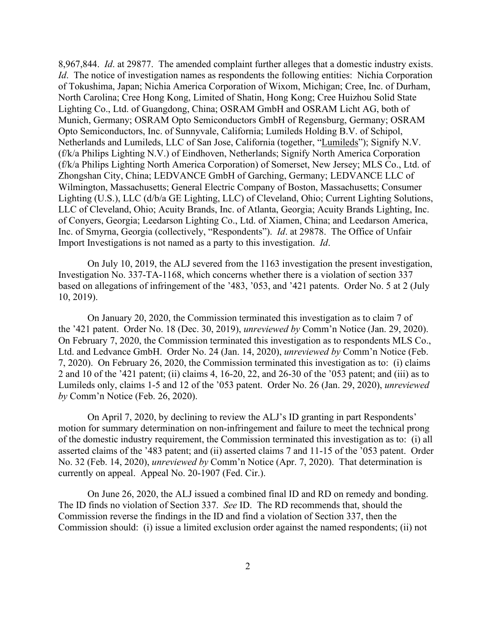8,967,844. *Id*. at 29877. The amended complaint further alleges that a domestic industry exists. *Id.* The notice of investigation names as respondents the following entities: Nichia Corporation of Tokushima, Japan; Nichia America Corporation of Wixom, Michigan; Cree, Inc. of Durham, North Carolina; Cree Hong Kong, Limited of Shatin, Hong Kong; Cree Huizhou Solid State Lighting Co., Ltd. of Guangdong, China; OSRAM GmbH and OSRAM Licht AG, both of Munich, Germany; OSRAM Opto Semiconductors GmbH of Regensburg, Germany; OSRAM Opto Semiconductors, Inc. of Sunnyvale, California; Lumileds Holding B.V. of Schipol, Netherlands and Lumileds, LLC of San Jose, California (together, "Lumileds"); Signify N.V. (f/k/a Philips Lighting N.V.) of Eindhoven, Netherlands; Signify North America Corporation (f/k/a Philips Lighting North America Corporation) of Somerset, New Jersey; MLS Co., Ltd. of Zhongshan City, China; LEDVANCE GmbH of Garching, Germany; LEDVANCE LLC of Wilmington, Massachusetts; General Electric Company of Boston, Massachusetts; Consumer Lighting (U.S.), LLC (d/b/a GE Lighting, LLC) of Cleveland, Ohio; Current Lighting Solutions, LLC of Cleveland, Ohio; Acuity Brands, Inc. of Atlanta, Georgia; Acuity Brands Lighting, Inc. of Conyers, Georgia; Leedarson Lighting Co., Ltd. of Xiamen, China; and Leedarson America, Inc. of Smyrna, Georgia (collectively, "Respondents"). *Id*. at 29878. The Office of Unfair Import Investigations is not named as a party to this investigation. *Id*.

On July 10, 2019, the ALJ severed from the 1163 investigation the present investigation, Investigation No. 337-TA-1168, which concerns whether there is a violation of section 337 based on allegations of infringement of the '483, '053, and '421 patents. Order No. 5 at 2 (July 10, 2019).

On January 20, 2020, the Commission terminated this investigation as to claim 7 of the '421 patent. Order No. 18 (Dec. 30, 2019), *unreviewed by* Comm'n Notice (Jan. 29, 2020). On February 7, 2020, the Commission terminated this investigation as to respondents MLS Co., Ltd. and Ledvance GmbH. Order No. 24 (Jan. 14, 2020), *unreviewed by* Comm'n Notice (Feb. 7, 2020). On February 26, 2020, the Commission terminated this investigation as to: (i) claims 2 and 10 of the '421 patent; (ii) claims 4, 16-20, 22, and 26-30 of the '053 patent; and (iii) as to Lumileds only, claims 1-5 and 12 of the '053 patent. Order No. 26 (Jan. 29, 2020), *unreviewed by* Comm'n Notice (Feb. 26, 2020).

On April 7, 2020, by declining to review the ALJ's ID granting in part Respondents' motion for summary determination on non-infringement and failure to meet the technical prong of the domestic industry requirement, the Commission terminated this investigation as to: (i) all asserted claims of the '483 patent; and (ii) asserted claims 7 and 11-15 of the '053 patent. Order No. 32 (Feb. 14, 2020), *unreviewed by* Comm'n Notice (Apr. 7, 2020). That determination is currently on appeal. Appeal No. 20-1907 (Fed. Cir.).

On June 26, 2020, the ALJ issued a combined final ID and RD on remedy and bonding. The ID finds no violation of Section 337. *See* ID. The RD recommends that, should the Commission reverse the findings in the ID and find a violation of Section 337, then the Commission should: (i) issue a limited exclusion order against the named respondents; (ii) not